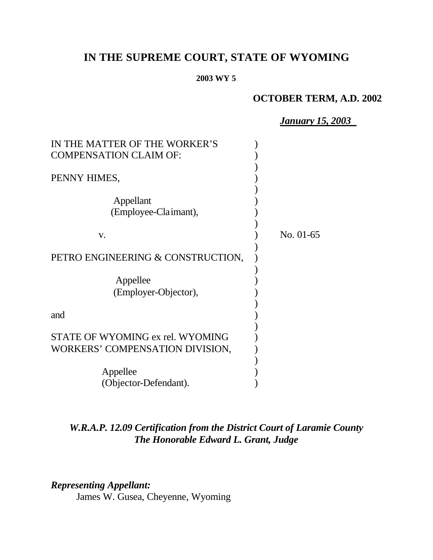# **IN THE SUPREME COURT, STATE OF WYOMING**

#### **2003 WY 5**

# **OCTOBER TERM, A.D. 2002**

*January 15, 2003*

| IN THE MATTER OF THE WORKER'S     |           |
|-----------------------------------|-----------|
| <b>COMPENSATION CLAIM OF:</b>     |           |
|                                   |           |
| PENNY HIMES,                      |           |
|                                   |           |
| Appellant                         |           |
| (Employee-Claimant),              |           |
|                                   |           |
| V.                                | No. 01-65 |
|                                   |           |
| PETRO ENGINEERING & CONSTRUCTION, |           |
|                                   |           |
| Appellee                          |           |
| (Employer-Objector),              |           |
|                                   |           |
| and                               |           |
|                                   |           |
| STATE OF WYOMING ex rel. WYOMING  |           |
| WORKERS' COMPENSATION DIVISION,   |           |
|                                   |           |
| Appellee                          |           |
| (Objector-Defendant).             |           |

# *W.R.A.P. 12.09 Certification from the District Court of Laramie County The Honorable Edward L. Grant, Judge*

# *Representing Appellant:*

James W. Gusea, Cheyenne, Wyoming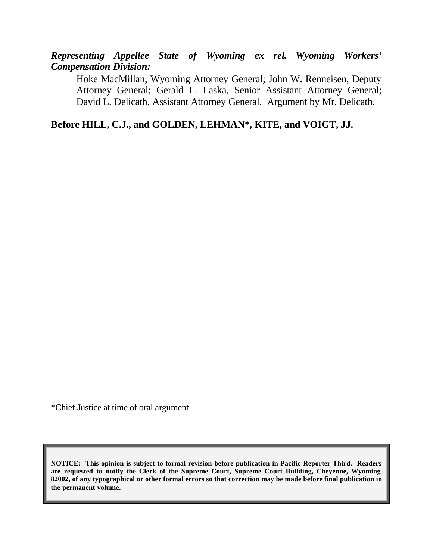*Representing Appellee State of Wyoming ex rel. Wyoming Workers' Compensation Division:*

Hoke MacMillan, Wyoming Attorney General; John W. Renneisen, Deputy Attorney General; Gerald L. Laska, Senior Assistant Attorney General; David L. Delicath, Assistant Attorney General. Argument by Mr. Delicath.

**Before HILL, C.J., and GOLDEN, LEHMAN\*, KITE, and VOIGT, JJ.**

\*Chief Justice at time of oral argument

**NOTICE: This opinion is subject to formal revision before publication in Pacific Reporter Third. Readers are requested to notify the Clerk of the Supreme Court, Supreme Court Building, Cheyenne, Wyoming 82002, of any typographical or other formal errors so that correction may be made before final publication in the permanent volume.**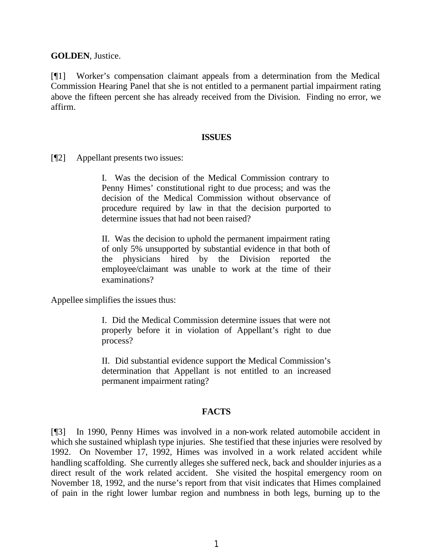**GOLDEN**, Justice.

[¶1] Worker's compensation claimant appeals from a determination from the Medical Commission Hearing Panel that she is not entitled to a permanent partial impairment rating above the fifteen percent she has already received from the Division. Finding no error, we affirm.

#### **ISSUES**

[¶2] Appellant presents two issues:

I. Was the decision of the Medical Commission contrary to Penny Himes' constitutional right to due process; and was the decision of the Medical Commission without observance of procedure required by law in that the decision purported to determine issues that had not been raised?

II. Was the decision to uphold the permanent impairment rating of only 5% unsupported by substantial evidence in that both of the physicians hired by the Division reported the employee/claimant was unable to work at the time of their examinations?

Appellee simplifies the issues thus:

I. Did the Medical Commission determine issues that were not properly before it in violation of Appellant's right to due process?

II. Did substantial evidence support the Medical Commission's determination that Appellant is not entitled to an increased permanent impairment rating?

## **FACTS**

[¶3] In 1990, Penny Himes was involved in a non-work related automobile accident in which she sustained whiplash type injuries. She testified that these injuries were resolved by 1992. On November 17, 1992, Himes was involved in a work related accident while handling scaffolding. She currently alleges she suffered neck, back and shoulder injuries as a direct result of the work related accident. She visited the hospital emergency room on November 18, 1992, and the nurse's report from that visit indicates that Himes complained of pain in the right lower lumbar region and numbness in both legs, burning up to the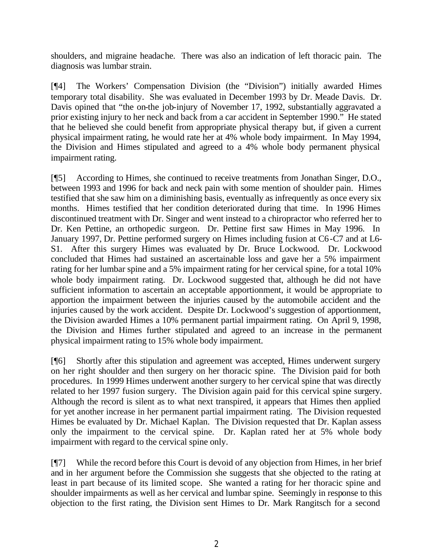shoulders, and migraine headache. There was also an indication of left thoracic pain. The diagnosis was lumbar strain.

[¶4] The Workers' Compensation Division (the "Division") initially awarded Himes temporary total disability. She was evaluated in December 1993 by Dr. Meade Davis. Dr. Davis opined that "the on-the job-injury of November 17, 1992, substantially aggravated a prior existing injury to her neck and back from a car accident in September 1990." He stated that he believed she could benefit from appropriate physical therapy but, if given a current physical impairment rating, he would rate her at 4% whole body impairment. In May 1994, the Division and Himes stipulated and agreed to a 4% whole body permanent physical impairment rating.

[¶5] According to Himes, she continued to receive treatments from Jonathan Singer, D.O., between 1993 and 1996 for back and neck pain with some mention of shoulder pain. Himes testified that she saw him on a diminishing basis, eventually as infrequently as once every six months. Himes testified that her condition deteriorated during that time. In 1996 Himes discontinued treatment with Dr. Singer and went instead to a chiropractor who referred her to Dr. Ken Pettine, an orthopedic surgeon. Dr. Pettine first saw Himes in May 1996. In January 1997, Dr. Pettine performed surgery on Himes including fusion at C6-C7 and at L6- S1. After this surgery Himes was evaluated by Dr. Bruce Lockwood. Dr. Lockwood concluded that Himes had sustained an ascertainable loss and gave her a 5% impairment rating for her lumbar spine and a 5% impairment rating for her cervical spine, for a total 10% whole body impairment rating. Dr. Lockwood suggested that, although he did not have sufficient information to ascertain an acceptable apportionment, it would be appropriate to apportion the impairment between the injuries caused by the automobile accident and the injuries caused by the work accident. Despite Dr. Lockwood's suggestion of apportionment, the Division awarded Himes a 10% permanent partial impairment rating. On April 9, 1998, the Division and Himes further stipulated and agreed to an increase in the permanent physical impairment rating to 15% whole body impairment.

[¶6] Shortly after this stipulation and agreement was accepted, Himes underwent surgery on her right shoulder and then surgery on her thoracic spine. The Division paid for both procedures. In 1999 Himes underwent another surgery to her cervical spine that was directly related to her 1997 fusion surgery. The Division again paid for this cervical spine surgery. Although the record is silent as to what next transpired, it appears that Himes then applied for yet another increase in her permanent partial impairment rating. The Division requested Himes be evaluated by Dr. Michael Kaplan. The Division requested that Dr. Kaplan assess only the impairment to the cervical spine. Dr. Kaplan rated her at 5% whole body impairment with regard to the cervical spine only.

[¶7] While the record before this Court is devoid of any objection from Himes, in her brief and in her argument before the Commission she suggests that she objected to the rating at least in part because of its limited scope. She wanted a rating for her thoracic spine and shoulder impairments as well as her cervical and lumbar spine. Seemingly in response to this objection to the first rating, the Division sent Himes to Dr. Mark Rangitsch for a second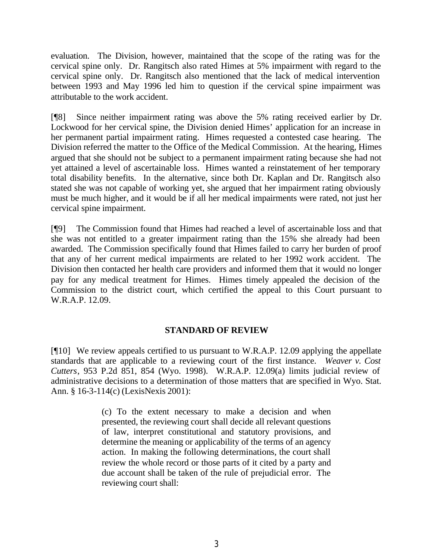evaluation. The Division, however, maintained that the scope of the rating was for the cervical spine only. Dr. Rangitsch also rated Himes at 5% impairment with regard to the cervical spine only. Dr. Rangitsch also mentioned that the lack of medical intervention between 1993 and May 1996 led him to question if the cervical spine impairment was attributable to the work accident.

[¶8] Since neither impairment rating was above the 5% rating received earlier by Dr. Lockwood for her cervical spine, the Division denied Himes' application for an increase in her permanent partial impairment rating. Himes requested a contested case hearing. The Division referred the matter to the Office of the Medical Commission. At the hearing, Himes argued that she should not be subject to a permanent impairment rating because she had not yet attained a level of ascertainable loss. Himes wanted a reinstatement of her temporary total disability benefits. In the alternative, since both Dr. Kaplan and Dr. Rangitsch also stated she was not capable of working yet, she argued that her impairment rating obviously must be much higher, and it would be if all her medical impairments were rated, not just her cervical spine impairment.

[¶9] The Commission found that Himes had reached a level of ascertainable loss and that she was not entitled to a greater impairment rating than the 15% she already had been awarded. The Commission specifically found that Himes failed to carry her burden of proof that any of her current medical impairments are related to her 1992 work accident. The Division then contacted her health care providers and informed them that it would no longer pay for any medical treatment for Himes. Himes timely appealed the decision of the Commission to the district court, which certified the appeal to this Court pursuant to W.R.A.P. 12.09.

## **STANDARD OF REVIEW**

[¶10] We review appeals certified to us pursuant to W.R.A.P. 12.09 applying the appellate standards that are applicable to a reviewing court of the first instance. *Weaver v. Cost Cutters*, 953 P.2d 851, 854 (Wyo. 1998). W.R.A.P. 12.09(a) limits judicial review of administrative decisions to a determination of those matters that are specified in Wyo. Stat. Ann. § 16-3-114(c) (LexisNexis 2001):

> (c) To the extent necessary to make a decision and when presented, the reviewing court shall decide all relevant questions of law, interpret constitutional and statutory provisions, and determine the meaning or applicability of the terms of an agency action. In making the following determinations, the court shall review the whole record or those parts of it cited by a party and due account shall be taken of the rule of prejudicial error. The reviewing court shall: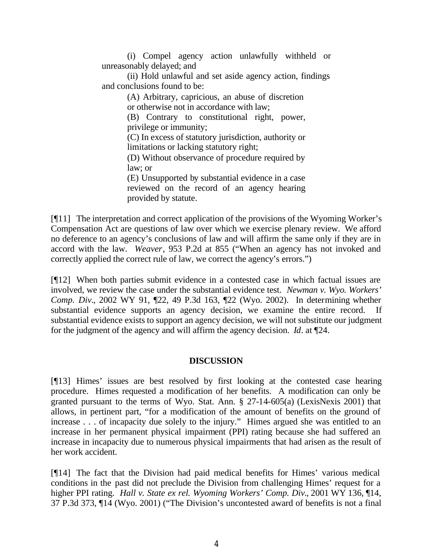(i) Compel agency action unlawfully withheld or unreasonably delayed; and

(ii) Hold unlawful and set aside agency action, findings and conclusions found to be:

> (A) Arbitrary, capricious, an abuse of discretion or otherwise not in accordance with law;

> (B) Contrary to constitutional right, power, privilege or immunity;

> (C) In excess of statutory jurisdiction, authority or limitations or lacking statutory right;

> (D) Without observance of procedure required by law; or

> (E) Unsupported by substantial evidence in a case reviewed on the record of an agency hearing provided by statute.

[¶11] The interpretation and correct application of the provisions of the Wyoming Worker's Compensation Act are questions of law over which we exercise plenary review. We afford no deference to an agency's conclusions of law and will affirm the same only if they are in accord with the law. *Weaver*, 953 P.2d at 855 ("When an agency has not invoked and correctly applied the correct rule of law, we correct the agency's errors.")

[¶12] When both parties submit evidence in a contested case in which factual issues are involved, we review the case under the substantial evidence test. *Newman v. Wyo. Workers' Comp. Div.*, 2002 WY 91, ¶22, 49 P.3d 163, ¶22 (Wyo. 2002). In determining whether substantial evidence supports an agency decision, we examine the entire record. If substantial evidence exists to support an agency decision, we will not substitute our judgment for the judgment of the agency and will affirm the agency decision. *Id*. at ¶24.

## **DISCUSSION**

[¶13] Himes' issues are best resolved by first looking at the contested case hearing procedure. Himes requested a modification of her benefits. A modification can only be granted pursuant to the terms of Wyo. Stat. Ann. § 27-14-605(a) (LexisNexis 2001) that allows, in pertinent part, "for a modification of the amount of benefits on the ground of increase . . . of incapacity due solely to the injury." Himes argued she was entitled to an increase in her permanent physical impairment (PPI) rating because she had suffered an increase in incapacity due to numerous physical impairments that had arisen as the result of her work accident.

[¶14] The fact that the Division had paid medical benefits for Himes' various medical conditions in the past did not preclude the Division from challenging Himes' request for a higher PPI rating. *Hall v. State ex rel. Wyoming Workers' Comp. Div.*, 2001 WY 136, ¶14, 37 P.3d 373, ¶14 (Wyo. 2001) ("The Division's uncontested award of benefits is not a final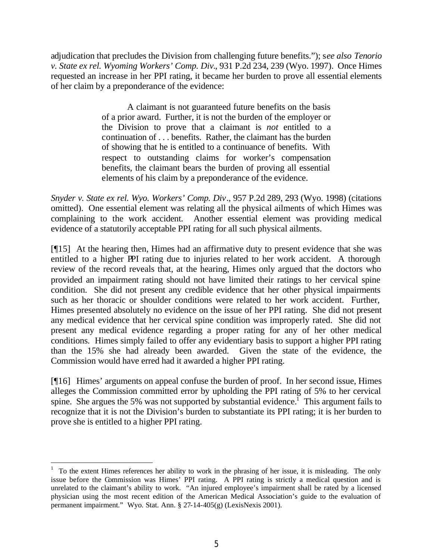adjudication that precludes the Division from challenging future benefits."); s*ee also Tenorio v. State ex rel. Wyoming Workers' Comp. Div.*, 931 P.2d 234, 239 (Wyo. 1997). Once Himes requested an increase in her PPI rating, it became her burden to prove all essential elements of her claim by a preponderance of the evidence:

> A claimant is not guaranteed future benefits on the basis of a prior award. Further, it is not the burden of the employer or the Division to prove that a claimant is *not* entitled to a continuation of . . . benefits. Rather, the claimant has the burden of showing that he is entitled to a continuance of benefits. With respect to outstanding claims for worker's compensation benefits, the claimant bears the burden of proving all essential elements of his claim by a preponderance of the evidence.

*Snyder v. State ex rel. Wyo. Workers' Comp. Div*., 957 P.2d 289, 293 (Wyo. 1998) (citations omitted). One essential element was relating all the physical ailments of which Himes was complaining to the work accident. Another essential element was providing medical evidence of a statutorily acceptable PPI rating for all such physical ailments.

[¶15] At the hearing then, Himes had an affirmative duty to present evidence that she was entitled to a higher PPI rating due to injuries related to her work accident. A thorough review of the record reveals that, at the hearing, Himes only argued that the doctors who provided an impairment rating should not have limited their ratings to her cervical spine condition. She did not present any credible evidence that her other physical impairments such as her thoracic or shoulder conditions were related to her work accident. Further, Himes presented absolutely no evidence on the issue of her PPI rating. She did not present any medical evidence that her cervical spine condition was improperly rated. She did not present any medical evidence regarding a proper rating for any of her other medical conditions. Himes simply failed to offer any evidentiary basis to support a higher PPI rating than the 15% she had already been awarded. Given the state of the evidence, the Commission would have erred had it awarded a higher PPI rating.

[¶16] Himes' arguments on appeal confuse the burden of proof. In her second issue, Himes alleges the Commission committed error by upholding the PPI rating of 5% to her cervical spine. She argues the 5% was not supported by substantial evidence.<sup>1</sup> This argument fails to recognize that it is not the Division's burden to substantiate its PPI rating; it is her burden to prove she is entitled to a higher PPI rating.

 1 To the extent Himes references her ability to work in the phrasing of her issue, it is misleading. The only issue before the Commission was Himes' PPI rating. A PPI rating is strictly a medical question and is unrelated to the claimant's ability to work. "An injured employee's impairment shall be rated by a licensed physician using the most recent edition of the American Medical Association's guide to the evaluation of permanent impairment." Wyo. Stat. Ann. § 27-14-405(g) (LexisNexis 2001).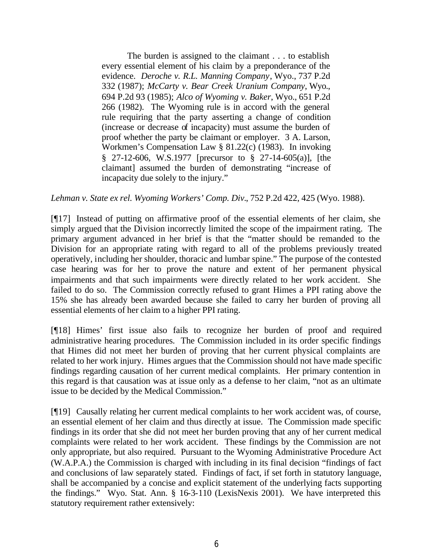The burden is assigned to the claimant . . . to establish every essential element of his claim by a preponderance of the evidence. *Deroche v. R.L. Manning Company*, Wyo., 737 P.2d 332 (1987); *McCarty v. Bear Creek Uranium Company*, Wyo., 694 P.2d 93 (1985); *Alco of Wyoming v. Baker*, Wyo., 651 P.2d 266 (1982). The Wyoming rule is in accord with the general rule requiring that the party asserting a change of condition (increase or decrease of incapacity) must assume the burden of proof whether the party be claimant or employer. 3 A. Larson, Workmen's Compensation Law § 81.22(c) (1983). In invoking § 27-12-606, W.S.1977 [precursor to § 27-14-605(a)], [the claimant] assumed the burden of demonstrating "increase of incapacity due solely to the injury."

*Lehman v. State ex rel. Wyoming Workers' Comp. Div.*, 752 P.2d 422, 425 (Wyo. 1988).

[¶17] Instead of putting on affirmative proof of the essential elements of her claim, she simply argued that the Division incorrectly limited the scope of the impairment rating. The primary argument advanced in her brief is that the "matter should be remanded to the Division for an appropriate rating with regard to all of the problems previously treated operatively, including her shoulder, thoracic and lumbar spine." The purpose of the contested case hearing was for her to prove the nature and extent of her permanent physical impairments and that such impairments were directly related to her work accident. She failed to do so. The Commission correctly refused to grant Himes a PPI rating above the 15% she has already been awarded because she failed to carry her burden of proving all essential elements of her claim to a higher PPI rating.

[¶18] Himes' first issue also fails to recognize her burden of proof and required administrative hearing procedures. The Commission included in its order specific findings that Himes did not meet her burden of proving that her current physical complaints are related to her work injury. Himes argues that the Commission should not have made specific findings regarding causation of her current medical complaints. Her primary contention in this regard is that causation was at issue only as a defense to her claim, "not as an ultimate issue to be decided by the Medical Commission."

[¶19] Causally relating her current medical complaints to her work accident was, of course, an essential element of her claim and thus directly at issue. The Commission made specific findings in its order that she did not meet her burden proving that any of her current medical complaints were related to her work accident. These findings by the Commission are not only appropriate, but also required. Pursuant to the Wyoming Administrative Procedure Act (W.A.P.A.) the Commission is charged with including in its final decision "findings of fact and conclusions of law separately stated. Findings of fact, if set forth in statutory language, shall be accompanied by a concise and explicit statement of the underlying facts supporting the findings." Wyo. Stat. Ann. § 16-3-110 (LexisNexis 2001). We have interpreted this statutory requirement rather extensively: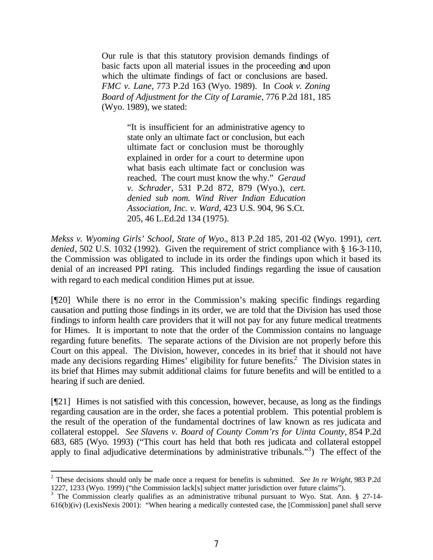Our rule is that this statutory provision demands findings of basic facts upon all material issues in the proceeding and upon which the ultimate findings of fact or conclusions are based. *FMC v. Lane*, 773 P.2d 163 (Wyo. 1989). In *Cook v. Zoning Board of Adjustment for the City of Laramie*, 776 P.2d 181, 185 (Wyo. 1989), we stated:

> "It is insufficient for an administrative agency to state only an ultimate fact or conclusion, but each ultimate fact or conclusion must be thoroughly explained in order for a court to determine upon what basis each ultimate fact or conclusion was reached. The court must know the why." *Geraud v. Schrader*, 531 P.2d 872, 879 (Wyo.), *cert. denied sub nom. Wind River Indian Education Association, Inc. v. Ward*, 423 U.S. 904, 96 S.Ct. 205, 46 L.Ed.2d 134 (1975).

*Mekss v. Wyoming Girls' School, State of Wyo.*, 813 P.2d 185, 201-02 (Wyo. 1991), *cert. denied*, 502 U.S. 1032 (1992). Given the requirement of strict compliance with § 16-3-110, the Commission was obligated to include in its order the findings upon which it based its denial of an increased PPI rating. This included findings regarding the issue of causation with regard to each medical condition Himes put at issue.

[¶20] While there is no error in the Commission's making specific findings regarding causation and putting those findings in its order, we are told that the Division has used those findings to inform health care providers that it will not pay for any future medical treatments for Himes. It is important to note that the order of the Commission contains no language regarding future benefits. The separate actions of the Division are not properly before this Court on this appeal. The Division, however, concedes in its brief that it should not have made any decisions regarding Himes' eligibility for future benefits.<sup>2</sup> The Division states in its brief that Himes may submit additional claims for future benefits and will be entitled to a hearing if such are denied.

[¶21] Himes is not satisfied with this concession, however, because, as long as the findings regarding causation are in the order, she faces a potential problem. This potential problem is the result of the operation of the fundamental doctrines of law known as res judicata and collateral estoppel. *See Slavens v. Board of County Comm'rs for Uinta County*, 854 P.2d 683, 685 (Wyo. 1993) ("This court has held that both res judicata and collateral estoppel apply to final adjudicative determinations by administrative tribunals."<sup>3</sup>) The effect of the

<sup>2</sup> These decisions should only be made once a request for benefits is submitted. *See In re Wright*, 983 P.2d 1227, 1233 (Wyo. 1999) ("the Commission lack[s] subject matter jurisdiction over future claims").

<sup>&</sup>lt;sup>3</sup> The Commission clearly qualifies as an administrative tribunal pursuant to Wyo. Stat. Ann. § 27-14-616(b)(iv) (LexisNexis 2001): "When hearing a medically contested case, the [Commission] panel shall serve